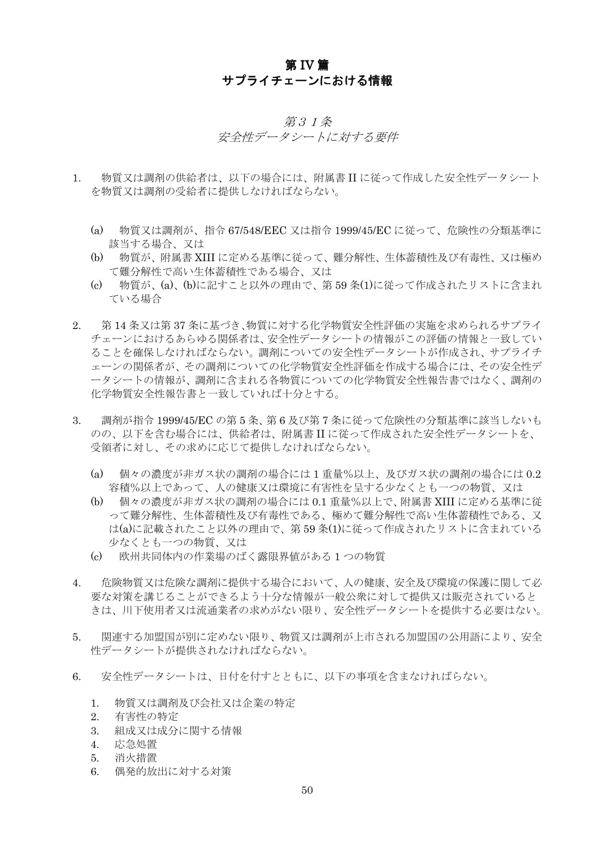# 第 IV 篇 サプライチェーンにおける情報

#### 第31条

#### 安全性データシートに対する要件

- $1<sup>1</sup>$ 物質又は調剤の供給者は、以下の場合には、附属書IIに従って作成した安全性データシート を物質又は調剤の受給者に提供しなければならない。
	- $(a)$ 物質又は調剤が、指令 67/548/EEC 又は指令 1999/45/EC に従って、危険性の分類基準に 該当する場合、又は
	- 物質が、附属書 XIII に定める基準に従って、難分解性、生体蓄積性及び有毒性、又は極め (b) て難分解性で高い生体蓄積性である場合、又は
	- $\epsilon$ - 物質が、(a)、(b)に記すこと以外の理由で、第 59 条(1)に従って作成されたリストに含まれ ている場合
- 2. 第14条又は第37条に基づき、物質に対する化学物質安全性評価の実施を求められるサプライ チェーンにおけるあらゆる関係者は、安全性データシートの情報がこの評価の情報と一致してい ることを確保しなければならない。調剤についての安全性データシートが作成され、サプライチ ェーンの関係者が、その調剤についての化学物質安全性評価を作成する場合には、その安全性デ ータシートの情報が、調剤に含まれる各物質についての化学物質安全性報告書ではなく、調剤の 化学物質安全性報告書と一致していれば十分とする。
- 調剤が指令 1999/45/EC の第5条、第6及び第7条に従って危険性の分類基準に該当しないも  $3.$ のの、以下を含む場合には、供給者は、附属書IIに従って作成された安全性データシートを、 受領者に対し、その求めに応じて提供しなければならない。
	- 個々の濃度が非ガス状の調剤の場合には1重量%以上、及びガス状の調剤の場合には0.2  $(a)$ 容積%以上であって、人の健康又は環境に有害性を呈する少なくとも一つの物質、又は
	- $(h)$ 個々の濃度が非ガス状の調剤の場合には 0.1 重量%以上で、附属書 XIII に定める基準に従 って難分解性、生体蓄積性及び有毒性である、極めて難分解性で高い生体蓄積性である。又 は(a)に記載されたこと以外の理由で、第59条(1)に従って作成されたリストに含まれている 少なくとも一つの物質、又は
	- 欧州共同体内の作業場のばく露限界値がある1つの物質  $\epsilon$
- 危険物質又は危険な調剤に提供する場合において、人の健康、安全及び環境の保護に関して必  $4.$ 要な対策を講じることができるよう十分な情報が一般公衆に対して提供又は販売されていると きは、川下使用者又は流通業者の求めがない限り、安全性データシートを提供する必要はない。
- 関連する加盟国が別に定めない限り、物質又は調剤が上市される加盟国の公用語により、安全  $5<sup>1</sup>$ 性データシートが提供されなければならない。
- $\epsilon$ 安全性データシートは、日付を付すとともに、以下の事項を含まなければらない。
	- 物質又は調剤及び会社又は企業の特定  $1<sup>1</sup>$
	- $2<sup>1</sup>$ 有害性の特定
	- 組成又は成分に関する情報 3.
	- 応急処置  $4.$
	- $5<sup>7</sup>$ 消火措置
	- 6. 偶発的放出に対する対策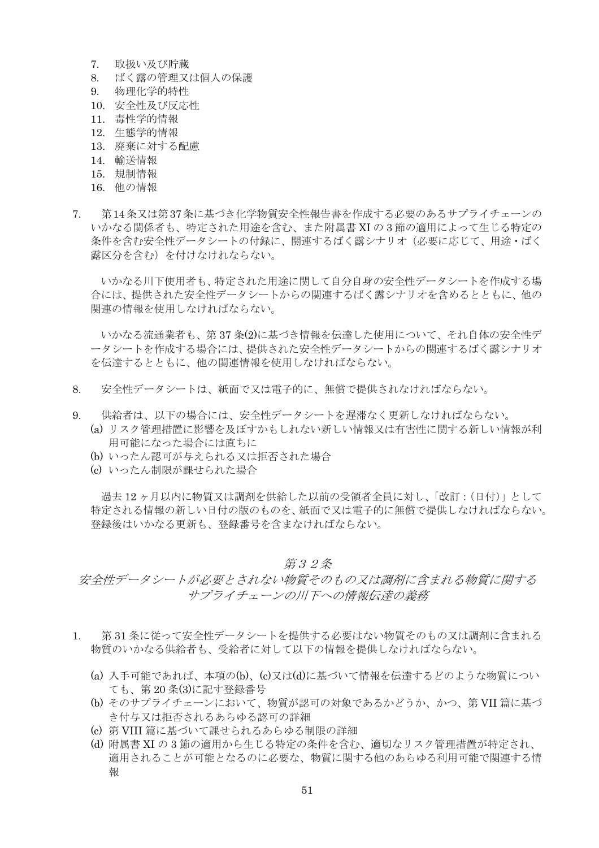- 7. 取扱い及び貯蔵
- ばく露の管理又は個人の保護  $8<sup>1</sup>$
- 物理化学的特性  $Q$
- 10. 安全性及び反応性
- 11. 毒性学的情報
- 12. 生熊学的情報
- 13. 廃棄に対する配慮
- 14. 輸送情報
- 15 規制情報
- 16. 他の情報
- 7. 第14条又は第37条に基づき化学物質安全性報告書を作成する必要のあるサプライチェーンの いかなる関係者も、特定された用途を含む、また附属書 XIの3節の適用によって生じる特定の 条件を含む安全性データシートの付録に、関連するばく露シナリオ(必要に応じて、用途・ばく 露区分を含む)を付けなけれならない。

いかなる川下使用者も、特定された用途に関して自分自身の安全性データシートを作成する場 合には、提供された安全性データシートからの関連するばく露シナリオを含めるとともに、他の 関連の情報を使用しなければならない。

いかなる流通業者も、第37条(2)に基づき情報を伝達した使用について、それ自体の安全性デ ータシートを作成する場合には、提供された安全性データシートからの関連するばく露シナリオ を伝達するとともに、他の関連情報を使用しなければならない。

- 8. 安全性データシートは、紙面で又は雷子的に、無償で提供されなければならない。
- $\mathbf{Q}$ 供給者は、以下の場合には、安全性データシートを遅滞なく更新しなければならない。
	- (a) リスク管理措置に影響を及ぼすかもしれない新しい情報又は有害性に関する新しい情報が利 用可能になった場合には直ちに
	- (b) いったん認可が与えられる又は拒否された場合
	- (c) いったん制限が課せられた場合

過去12ヶ月以内に物質又は調剤を供給した以前の受領者全員に対し、「改訂:(日付)」として 特定される情報の新しい日付の版のものを、紙面で又は電子的に無償で提供しなければならない。 登録後はいかなる更新も、登録番号を含まなければならない。

#### 第32条

## 安全性データシートが必要とされない物質そのもの又は調剤に含まれる物質に関する サプライチェーンの川下への情報伝達の義務

- 第31条に従って安全性データシートを提供する必要はない物質そのもの又は調剤に含まれる  $1$ 物質のいかなる供給者も、受給者に対して以下の情報を提供しなければならない。
	- (a) 入手可能であれば、本項の(b)、(c)又は(d)に基づいて情報を伝達するどのような物質につい ても、第20条(3)に記す登録番号
	- (b) そのサプライチェーンにおいて、物質が認可の対象であるかどうか、かつ、第VII 篇に基づ き付与又は拒否されるあらゆる認可の詳細
	- (c) 第 VIII 篇に基づいて課せられるあらゆる制限の詳細
	- (d) 附属書 XI の 3 節の適用から生じる特定の条件を含む、適切なリスク管理措置が特定され、 適用されることが可能となるのに必要な、物質に関する他のあらゆる利用可能で関連する情 報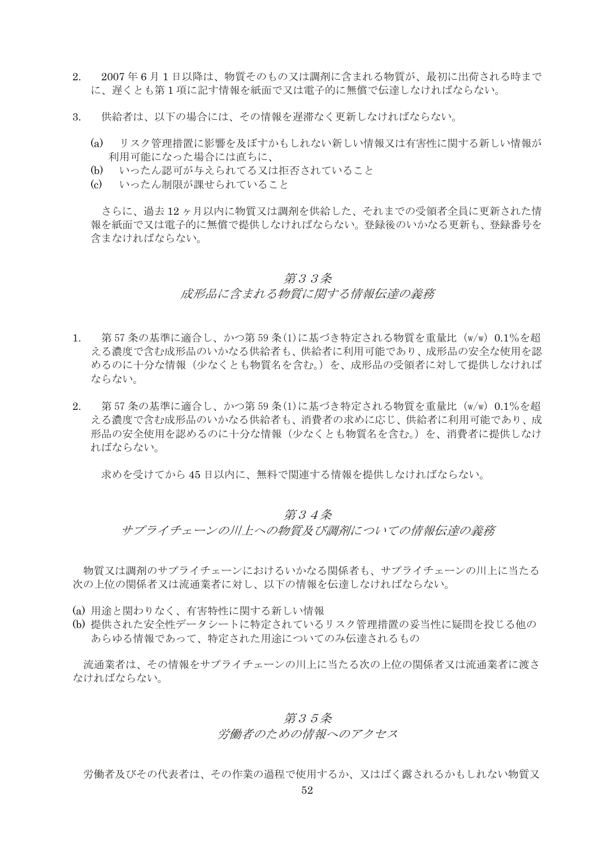- 2. 2007年6月1日以降は、物質そのもの又は調剤に含まれる物質が、最初に出荷される時まで に、遅くとも第1項に記す情報を紙面で又は雷子的に無償で伝達しなければならない。
- $3.$ 供給者は、以下の場合には、その情報を遅滞なく更新しなければならない。
	- $(a)$ リスク管理措置に影響を及ぼすかもしれない新しい情報又は有害性に関する新しい情報が 利用可能になった場合には直ちに、
	- $(h)$ いったん認可が与えられてる又は拒否されていること
	- (c) いったん制限が課せられていろこと

さらに、過去12ヶ月以内に物質又は調剤を供給した、それまでの受領者全員に更新された情 報を紙面で又は電子的に無償で提供しなければならない。登録後のいかなる更新も、登録番号を 含まなければならない。

## 第33条

## 成形品に含まれる物質に関する情報伝達の義務

- 第57条の基準に適合し、かつ第59条(1)に基づき特定される物質を重量比 (w/w) 0.1%を超  $1 \quad$ える濃度で含む成形品のいかなる供給者も、供給者に利用可能であり、成形品の安全な使用を認 めるのに十分な情報(少なくとも物質名を含む。)を、成形品の受領者に対して提供しなければ ならない。
- 2. 第57条の基準に適合し、かつ第59条(1)に基づき特定される物質を重量比 (w/w) 0.1%を超 える濃度で含む成形品のいかなる供給者も、消費者の求めに応じ、供給者に利用可能であり、成 形品の安全使用を認めるのに十分な情報(少なくとも物質名を含む。)を、消費者に提供しなけ ればならない。

求めを受けてから45日以内に、無料で関連する情報を提供しなければならない。

#### 第34条

サプライチェーンの川上への物質及び調剤についての情報伝達の義務

物質又は調剤のサプライチェーンにおけるいかなる関係者も、サプライチェーンの川上に当たる 次の上位の関係者又は流通業者に対し、以下の情報を伝達しなければならない。

- (a) 用途と関わりなく、有害特性に関する新しい情報
- (b) 提供された安全性データシートに特定されているリスク管理措置の妥当性に疑問を投じる他の あらゆる情報であって、特定された用涂についてのみ伝達されるもの

流通業者は、その情報をサプライチェーンの川上に当たる次の上位の関係者又は流通業者に渡さ なければならない。

## 第35条

### 労働者のための情報へのアクセス

労働者及びその代表者は、その作業の過程で使用するか、又はばく露されるかもしれない物質又